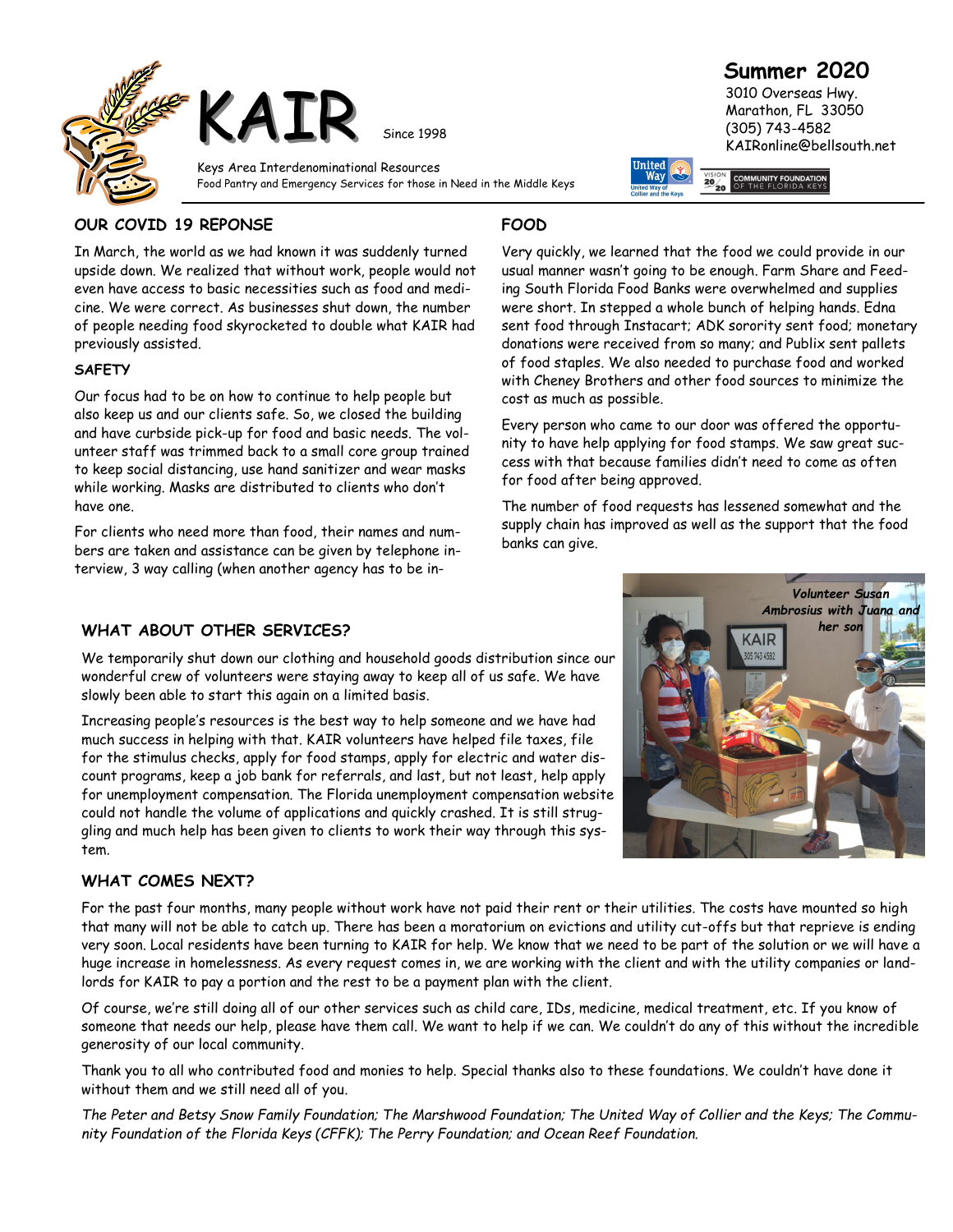

## **Summer 2020**

Very quickly, we learned that the food we could provide in our usual manner wasn't going to be enough. Farm Share and Feeding South Florida Food Banks were overwhelmed and supplies were short. In stepped a whole bunch of helping hands. Edna sent food through Instacart; ADK sorority sent food; monetary donations were received from so many; and Publix sent pallets of food staples. We also needed to purchase food and worked with Cheney Brothers and other food sources to minimize the

Every person who came to our door was offered the opportunity to have help applying for food stamps. We saw great success with that because families didn't need to come as often

The number of food requests has lessened somewhat and the supply chain has improved as well as the support that the food

 3010 Overseas Hwy. Marathon, FL 33050 (305) 743-4582 KAIRonline@bellsouth.net

#### **OUR COVID 19 REPONSE**

**FOOD**

cost as much as possible.

banks can give.

for food after being approved.

In March, the world as we had known it was suddenly turned upside down. We realized that without work, people would not even have access to basic necessities such as food and medicine. We were correct. As businesses shut down, the number of people needing food skyrocketed to double what KAIR had previously assisted.

#### **SAFETY**

Our focus had to be on how to continue to help people but also keep us and our clients safe. So, we closed the building and have curbside pick-up for food and basic needs. The volunteer staff was trimmed back to a small core group trained to keep social distancing, use hand sanitizer and wear masks while working. Masks are distributed to clients who don't have one.

For clients who need more than food, their names and numbers are taken and assistance can be given by telephone interview, 3 way calling (when another agency has to be in-

#### **WHAT ABOUT OTHER SERVICES?**

We temporarily shut down our clothing and household goods distribution since our wonderful crew of volunteers were staying away to keep all of us safe. We have slowly been able to start this again on a limited basis.

Increasing people's resources is the best way to help someone and we have had much success in helping with that. KAIR volunteers have helped file taxes, file for the stimulus checks, apply for food stamps, apply for electric and water discount programs, keep a job bank for referrals, and last, but not least, help apply for unemployment compensation. The Florida unemployment compensation website could not handle the volume of applications and quickly crashed. It is still struggling and much help has been given to clients to work their way through this system.

#### **WHAT COMES NEXT?**

For the past four months, many people without work have not paid their rent or their utilities. The costs have mounted so high that many will not be able to catch up. There has been a moratorium on evictions and utility cut-offs but that reprieve is ending very soon. Local residents have been turning to KAIR for help. We know that we need to be part of the solution or we will have a huge increase in homelessness. As every request comes in, we are working with the client and with the utility companies or landlords for KAIR to pay a portion and the rest to be a payment plan with the client.

Of course, we're still doing all of our other services such as child care, IDs, medicine, medical treatment, etc. If you know of someone that needs our help, please have them call. We want to help if we can. We couldn't do any of this without the incredible generosity of our local community.

Thank you to all who contributed food and monies to help. Special thanks also to these foundations. We couldn't have done it without them and we still need all of you.

*The Peter and Betsy Snow Family Foundation; The Marshwood Foundation; The United Way of Collier and the Keys; The Community Foundation of the Florida Keys (CFFK); The Perry Foundation; and Ocean Reef Foundation.*

# *Volunteer Susan*  **Ambrosius with Juana an** *her son* **KAIR** 157434582